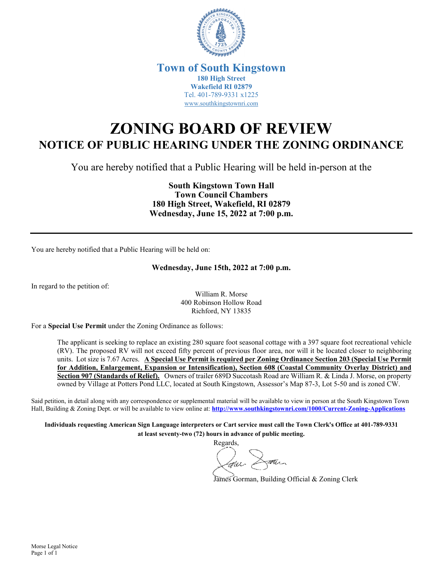

## **Town of South Kingstown 180 High Street Wakefield RI 02879** Tel. 401-789-9331 x1225 [www.southkingstownri.com](http://www.southkingstownri.com/)

## **ZONING BOARD OF REVIEW NOTICE OF PUBLIC HEARING UNDER THE ZONING ORDINANCE**

You are hereby notified that a Public Hearing will be held in-person at the

**South Kingstown Town Hall Town Council Chambers 180 High Street, Wakefield, RI 02879 Wednesday, June 15, 2022 at 7:00 p.m.** 

You are hereby notified that a Public Hearing will be held on:

## **Wednesday, June 15th, 2022 at 7:00 p.m.**

In regard to the petition of:

William R. Morse 400 Robinson Hollow Road Richford, NY 13835

For a **Special Use Permit** under the Zoning Ordinance as follows:

The applicant is seeking to replace an existing 280 square foot seasonal cottage with a 397 square foot recreational vehicle (RV). The proposed RV will not exceed fifty percent of previous floor area, nor will it be located closer to neighboring units. Lot size is 7.67 Acres. **A Special Use Permit is required per Zoning Ordinance Section 203 (Special Use Permit for Addition, Enlargement, Expansion or Intensification), Section 608 (Coastal Community Overlay District) and Section 907 (Standards of Relief).** Owners of trailer 689D Succotash Road are William R. & Linda J. Morse, on property owned by Village at Potters Pond LLC, located at South Kingstown, Assessor's Map 87-3, Lot 5-50 and is zoned CW.

Said petition, in detail along with any correspondence or supplemental material will be available to view in person at the South Kingstown Town Hall, Building & Zoning Dept. or will be available to view online at: **<http://www.southkingstownri.com/1000/Current-Zoning-Applications>**

**Individuals requesting American Sign Language interpreters or Cart service must call the Town Clerk's Office at 401-789-9331 at least seventy-two (72) hours in advance of public meeting.** 

Regards,

James Gorman, Building Official & Zoning Clerk